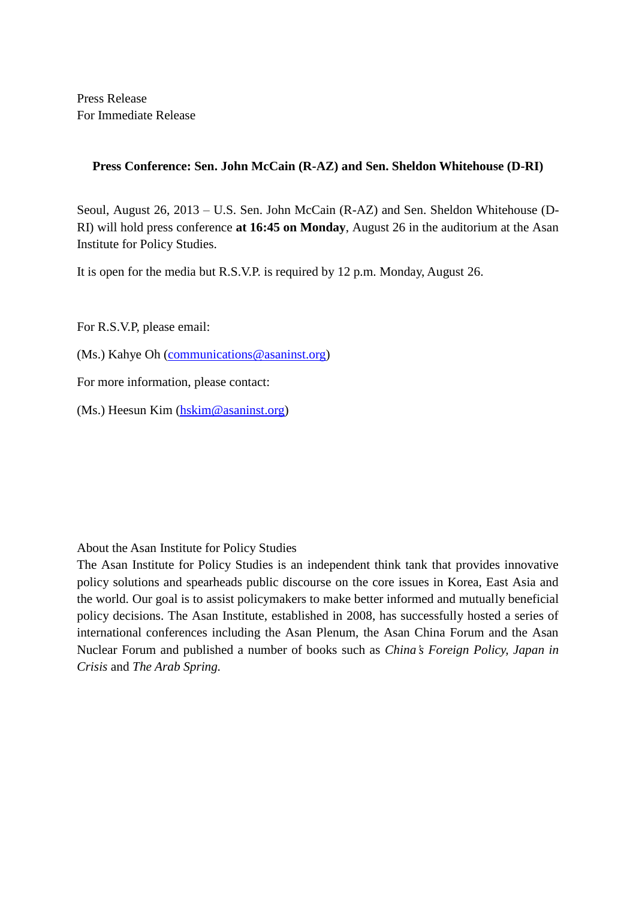Press Release For Immediate Release

## **Press Conference: Sen. John McCain (R-AZ) and Sen. Sheldon Whitehouse (D-RI)**

Seoul, August 26, 2013 – U.S. Sen. John McCain (R-AZ) and Sen. Sheldon Whitehouse (D-RI) will hold press conference **at 16:45 on Monday**, August 26 in the auditorium at the Asan Institute for Policy Studies.

It is open for the media but R.S.V.P. is required by 12 p.m. Monday, August 26.

For R.S.V.P, please email:

(Ms.) Kahye Oh [\(communications@asaninst.org\)](mailto:communications@asaninst.org)

For more information, please contact:

(Ms.) Heesun Kim [\(hskim@asaninst.org\)](mailto:hskim@asaninst.org)

About the Asan Institute for Policy Studies

The Asan Institute for Policy Studies is an independent think tank that provides innovative policy solutions and spearheads public discourse on the core issues in Korea, East Asia and the world. Our goal is to assist policymakers to make better informed and mutually beneficial policy decisions. The Asan Institute, established in 2008, has successfully hosted a series of international conferences including the Asan Plenum, the Asan China Forum and the Asan Nuclear Forum and published a number of books such as *China's Foreign Policy, Japan in Crisis* and *The Arab Spring.*